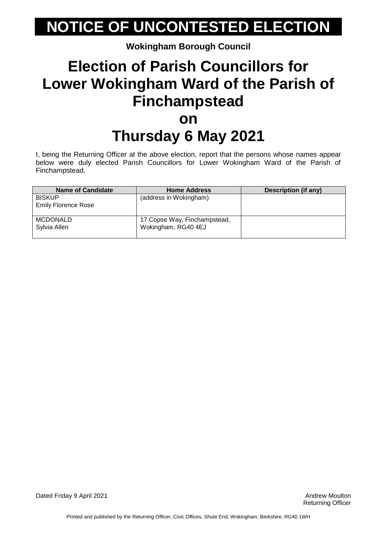# **NOTICE OF UNCONTESTED ELECTION**

**Wokingham Borough Council**

## **Election of Parish Councillors for Lower Wokingham Ward of the Parish of Finchampstead on**

## **Thursday 6 May 2021**

I, being the Returning Officer at the above election, report that the persons whose names appear below were duly elected Parish Councillors for Lower Wokingham Ward of the Parish of Finchampstead.

| <b>Name of Candidate</b>                    | <b>Home Address</b>                                 | Description (if any) |
|---------------------------------------------|-----------------------------------------------------|----------------------|
| <b>BISKUP</b><br><b>Emily Florence Rose</b> | (address in Wokingham)                              |                      |
| <b>MCDONALD</b><br>Sylvia Allen             | 17 Copse Way, Finchampstead,<br>Wokingham, RG40 4EJ |                      |

Dated Friday 9 April 2021 **Andrew Moulton** Dated Friday 9 April 2021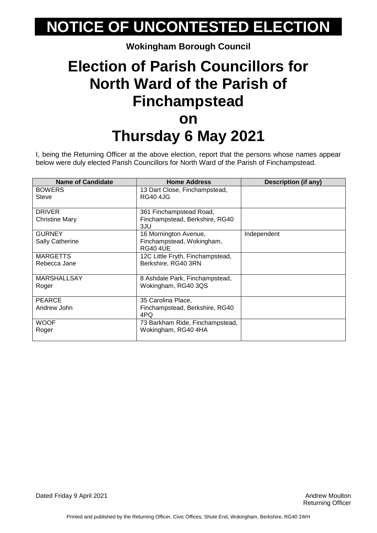## **NOTICE OF UNCONTESTED ELECTION**

#### **Wokingham Borough Council**

## **Election of Parish Councillors for North Ward of the Parish of Finchampstead on Thursday 6 May 2021**

I, being the Returning Officer at the above election, report that the persons whose names appear below were duly elected Parish Councillors for North Ward of the Parish of Finchampstead.

| <b>Name of Candidate</b> | <b>Home Address</b>              | Description (if any) |
|--------------------------|----------------------------------|----------------------|
| <b>BOWERS</b>            | 13 Dart Close, Finchampstead,    |                      |
| Steve                    | <b>RG40 4JG</b>                  |                      |
|                          |                                  |                      |
| <b>DRIVER</b>            | 361 Finchampstead Road,          |                      |
| <b>Christine Mary</b>    | Finchampstead, Berkshire, RG40   |                      |
|                          | 3JU                              |                      |
| <b>GURNEY</b>            | 16 Mornington Avenue,            | Independent          |
| <b>Sally Catherine</b>   | Finchampstead, Wokingham,        |                      |
|                          | <b>RG40 4UE</b>                  |                      |
| <b>MARGETTS</b>          | 12C Little Fryth, Finchampstead, |                      |
| Rebecca Jane             | Berkshire, RG40 3RN              |                      |
|                          |                                  |                      |
| <b>MARSHALLSAY</b>       | 8 Ashdale Park, Finchampstead,   |                      |
| Roger                    | Wokingham, RG40 3QS              |                      |
|                          |                                  |                      |
| <b>PEARCE</b>            | 35 Carolina Place,               |                      |
| Andrew John              | Finchampstead, Berkshire, RG40   |                      |
|                          | 4PQ                              |                      |
| <b>WOOF</b>              | 73 Barkham Ride, Finchampstead,  |                      |
| Roger                    | Wokingham, RG40 4HA              |                      |
|                          |                                  |                      |